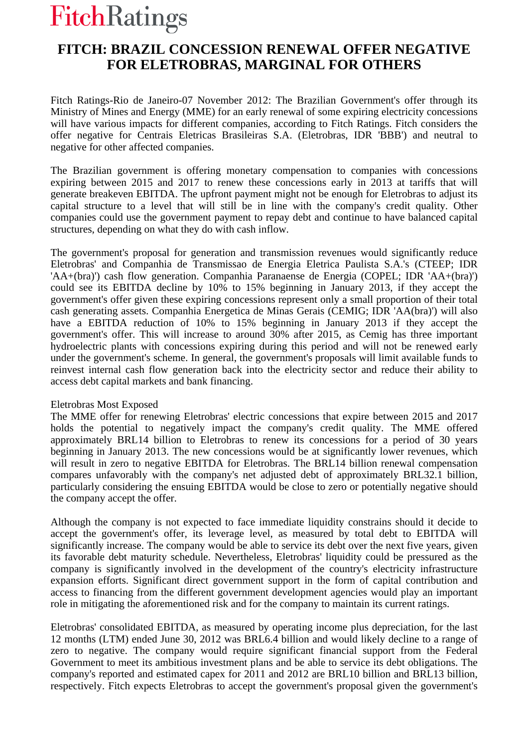# **FitchRatings**

## **FITCH: BRAZIL CONCESSION RENEWAL OFFER NEGATIVE FOR ELETROBRAS, MARGINAL FOR OTHERS**

Fitch Ratings-Rio de Janeiro-07 November 2012: The Brazilian Government's offer through its Ministry of Mines and Energy (MME) for an early renewal of some expiring electricity concessions will have various impacts for different companies, according to Fitch Ratings. Fitch considers the offer negative for Centrais Eletricas Brasileiras S.A. (Eletrobras, IDR 'BBB') and neutral to negative for other affected companies.

The Brazilian government is offering monetary compensation to companies with concessions expiring between 2015 and 2017 to renew these concessions early in 2013 at tariffs that will generate breakeven EBITDA. The upfront payment might not be enough for Eletrobras to adjust its capital structure to a level that will still be in line with the company's credit quality. Other companies could use the government payment to repay debt and continue to have balanced capital structures, depending on what they do with cash inflow.

The government's proposal for generation and transmission revenues would significantly reduce Eletrobras' and Companhia de Transmissao de Energia Eletrica Paulista S.A.'s (CTEEP; IDR 'AA+(bra)') cash flow generation. Companhia Paranaense de Energia (COPEL; IDR 'AA+(bra)') could see its EBITDA decline by 10% to 15% beginning in January 2013, if they accept the government's offer given these expiring concessions represent only a small proportion of their total cash generating assets. Companhia Energetica de Minas Gerais (CEMIG; IDR 'AA(bra)') will also have a EBITDA reduction of 10% to 15% beginning in January 2013 if they accept the government's offer. This will increase to around 30% after 2015, as Cemig has three important hydroelectric plants with concessions expiring during this period and will not be renewed early under the government's scheme. In general, the government's proposals will limit available funds to reinvest internal cash flow generation back into the electricity sector and reduce their ability to access debt capital markets and bank financing.

### Eletrobras Most Exposed

The MME offer for renewing Eletrobras' electric concessions that expire between 2015 and 2017 holds the potential to negatively impact the company's credit quality. The MME offered approximately BRL14 billion to Eletrobras to renew its concessions for a period of 30 years beginning in January 2013. The new concessions would be at significantly lower revenues, which will result in zero to negative EBITDA for Eletrobras. The BRL14 billion renewal compensation compares unfavorably with the company's net adjusted debt of approximately BRL32.1 billion, particularly considering the ensuing EBITDA would be close to zero or potentially negative should the company accept the offer.

Although the company is not expected to face immediate liquidity constrains should it decide to accept the government's offer, its leverage level, as measured by total debt to EBITDA will significantly increase. The company would be able to service its debt over the next five years, given its favorable debt maturity schedule. Nevertheless, Eletrobras' liquidity could be pressured as the company is significantly involved in the development of the country's electricity infrastructure expansion efforts. Significant direct government support in the form of capital contribution and access to financing from the different government development agencies would play an important role in mitigating the aforementioned risk and for the company to maintain its current ratings.

Eletrobras' consolidated EBITDA, as measured by operating income plus depreciation, for the last 12 months (LTM) ended June 30, 2012 was BRL6.4 billion and would likely decline to a range of zero to negative. The company would require significant financial support from the Federal Government to meet its ambitious investment plans and be able to service its debt obligations. The company's reported and estimated capex for 2011 and 2012 are BRL10 billion and BRL13 billion, respectively. Fitch expects Eletrobras to accept the government's proposal given the government's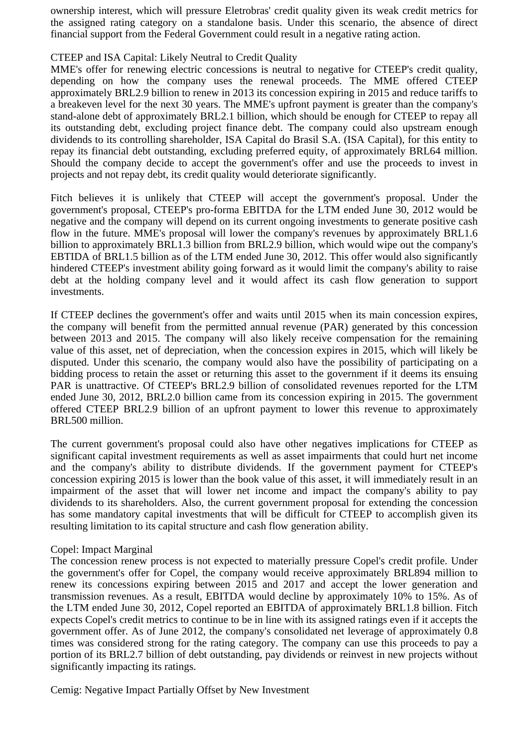ownership interest, which will pressure Eletrobras' credit quality given its weak credit metrics for the assigned rating category on a standalone basis. Under this scenario, the absence of direct financial support from the Federal Government could result in a negative rating action.

#### CTEEP and ISA Capital: Likely Neutral to Credit Quality

MME's offer for renewing electric concessions is neutral to negative for CTEEP's credit quality, depending on how the company uses the renewal proceeds. The MME offered CTEEP approximately BRL2.9 billion to renew in 2013 its concession expiring in 2015 and reduce tariffs to a breakeven level for the next 30 years. The MME's upfront payment is greater than the company's stand-alone debt of approximately BRL2.1 billion, which should be enough for CTEEP to repay all its outstanding debt, excluding project finance debt. The company could also upstream enough dividends to its controlling shareholder, ISA Capital do Brasil S.A. (ISA Capital), for this entity to repay its financial debt outstanding, excluding preferred equity, of approximately BRL64 million. Should the company decide to accept the government's offer and use the proceeds to invest in projects and not repay debt, its credit quality would deteriorate significantly.

Fitch believes it is unlikely that CTEEP will accept the government's proposal. Under the government's proposal, CTEEP's pro-forma EBITDA for the LTM ended June 30, 2012 would be negative and the company will depend on its current ongoing investments to generate positive cash flow in the future. MME's proposal will lower the company's revenues by approximately BRL1.6 billion to approximately BRL1.3 billion from BRL2.9 billion, which would wipe out the company's EBTIDA of BRL1.5 billion as of the LTM ended June 30, 2012. This offer would also significantly hindered CTEEP's investment ability going forward as it would limit the company's ability to raise debt at the holding company level and it would affect its cash flow generation to support investments.

If CTEEP declines the government's offer and waits until 2015 when its main concession expires, the company will benefit from the permitted annual revenue (PAR) generated by this concession between 2013 and 2015. The company will also likely receive compensation for the remaining value of this asset, net of depreciation, when the concession expires in 2015, which will likely be disputed. Under this scenario, the company would also have the possibility of participating on a bidding process to retain the asset or returning this asset to the government if it deems its ensuing PAR is unattractive. Of CTEEP's BRL2.9 billion of consolidated revenues reported for the LTM ended June 30, 2012, BRL2.0 billion came from its concession expiring in 2015. The government offered CTEEP BRL2.9 billion of an upfront payment to lower this revenue to approximately BRL500 million.

The current government's proposal could also have other negatives implications for CTEEP as significant capital investment requirements as well as asset impairments that could hurt net income and the company's ability to distribute dividends. If the government payment for CTEEP's concession expiring 2015 is lower than the book value of this asset, it will immediately result in an impairment of the asset that will lower net income and impact the company's ability to pay dividends to its shareholders. Also, the current government proposal for extending the concession has some mandatory capital investments that will be difficult for CTEEP to accomplish given its resulting limitation to its capital structure and cash flow generation ability.

### Copel: Impact Marginal

The concession renew process is not expected to materially pressure Copel's credit profile. Under the government's offer for Copel, the company would receive approximately BRL894 million to renew its concessions expiring between 2015 and 2017 and accept the lower generation and transmission revenues. As a result, EBITDA would decline by approximately 10% to 15%. As of the LTM ended June 30, 2012, Copel reported an EBITDA of approximately BRL1.8 billion. Fitch expects Copel's credit metrics to continue to be in line with its assigned ratings even if it accepts the government offer. As of June 2012, the company's consolidated net leverage of approximately 0.8 times was considered strong for the rating category. The company can use this proceeds to pay a portion of its BRL2.7 billion of debt outstanding, pay dividends or reinvest in new projects without significantly impacting its ratings.

Cemig: Negative Impact Partially Offset by New Investment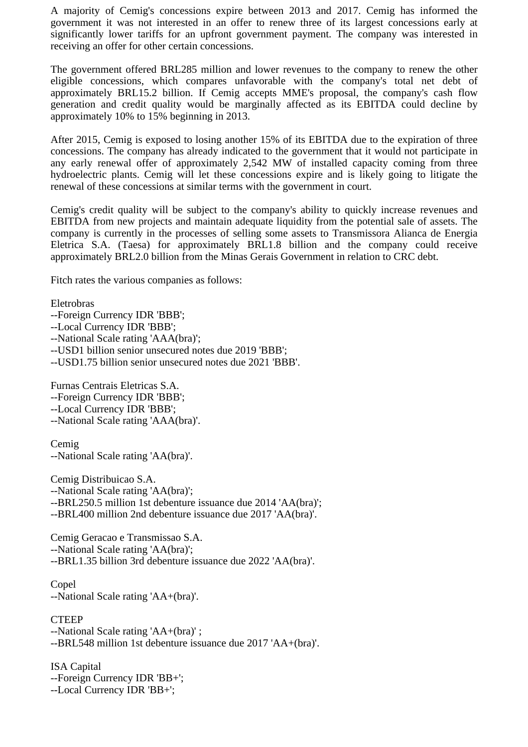A majority of Cemig's concessions expire between 2013 and 2017. Cemig has informed the government it was not interested in an offer to renew three of its largest concessions early at significantly lower tariffs for an upfront government payment. The company was interested in receiving an offer for other certain concessions.

The government offered BRL285 million and lower revenues to the company to renew the other eligible concessions, which compares unfavorable with the company's total net debt of approximately BRL15.2 billion. If Cemig accepts MME's proposal, the company's cash flow generation and credit quality would be marginally affected as its EBITDA could decline by approximately 10% to 15% beginning in 2013.

After 2015, Cemig is exposed to losing another 15% of its EBITDA due to the expiration of three concessions. The company has already indicated to the government that it would not participate in any early renewal offer of approximately 2,542 MW of installed capacity coming from three hydroelectric plants. Cemig will let these concessions expire and is likely going to litigate the renewal of these concessions at similar terms with the government in court.

Cemig's credit quality will be subject to the company's ability to quickly increase revenues and EBITDA from new projects and maintain adequate liquidity from the potential sale of assets. The company is currently in the processes of selling some assets to Transmissora Alianca de Energia Eletrica S.A. (Taesa) for approximately BRL1.8 billion and the company could receive approximately BRL2.0 billion from the Minas Gerais Government in relation to CRC debt.

Fitch rates the various companies as follows:

Eletrobras --Foreign Currency IDR 'BBB'; --Local Currency IDR 'BBB'; --National Scale rating 'AAA(bra)'; --USD1 billion senior unsecured notes due 2019 'BBB'; --USD1.75 billion senior unsecured notes due 2021 'BBB'.

Furnas Centrais Eletricas S.A. --Foreign Currency IDR 'BBB'; --Local Currency IDR 'BBB'; --National Scale rating 'AAA(bra)'.

**Cemig** --National Scale rating 'AA(bra)'.

Cemig Distribuicao S.A. --National Scale rating 'AA(bra)'; --BRL250.5 million 1st debenture issuance due 2014 'AA(bra)'; --BRL400 million 2nd debenture issuance due 2017 'AA(bra)'.

Cemig Geracao e Transmissao S.A. --National Scale rating 'AA(bra)'; --BRL1.35 billion 3rd debenture issuance due 2022 'AA(bra)'.

Copel --National Scale rating 'AA+(bra)'.

**CTEEP** --National Scale rating 'AA+(bra)' ; --BRL548 million 1st debenture issuance due 2017 'AA+(bra)'.

ISA Capital --Foreign Currency IDR 'BB+'; --Local Currency IDR 'BB+';